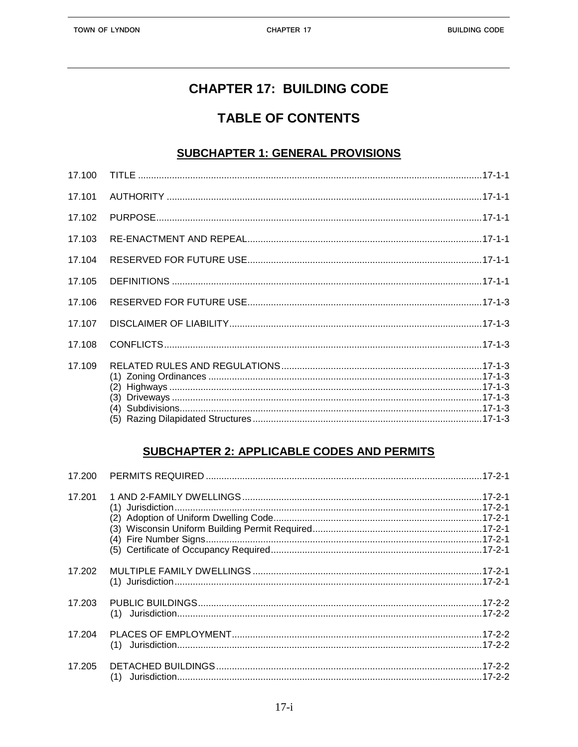# **CHAPTER 17: BUILDING CODE**

## **TABLE OF CONTENTS**

#### **SUBCHAPTER 1: GENERAL PROVISIONS**

| 17.102 |  |
|--------|--|
| 17.103 |  |
| 17.104 |  |
| 17.105 |  |
| 17.106 |  |
| 17.107 |  |
| 17.108 |  |
| 17.109 |  |
|        |  |

### SUBCHAPTER 2: APPLICABLE CODES AND PERMITS

| 17.201 |  |
|--------|--|
|        |  |
|        |  |
|        |  |
|        |  |
|        |  |
| 17.202 |  |
|        |  |
| 17.203 |  |
|        |  |
| 17.204 |  |
|        |  |
| 17.205 |  |
|        |  |